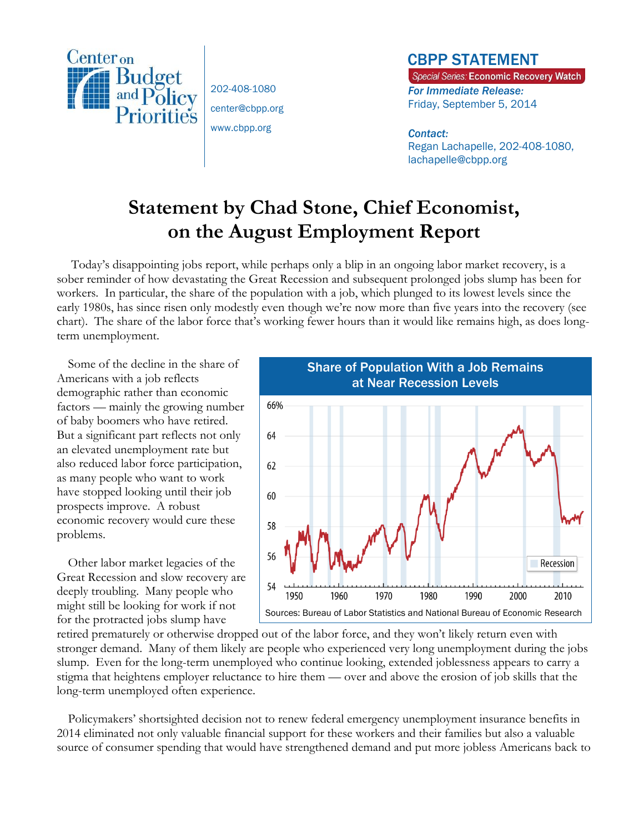

202-408-1080 center@cbpp.org www.cbpp.org

## CBPP STATEMENT

Special Series: Economic Recovery Watch *For Immediate Release:*  Friday, September 5, 2014

## *Contact:*

Regan Lachapelle, 202-408-1080, lachapelle@cbpp.org

# **Statement by Chad Stone, Chief Economist, on the August Employment Report**

Today's disappointing jobs report, while perhaps only a blip in an ongoing labor market recovery, is a sober reminder of how devastating the Great Recession and subsequent prolonged jobs slump has been for workers. In particular, the share of the population with a job, which plunged to its lowest levels since the early 1980s, has since risen only modestly even though we're now more than five years into the recovery (see chart). The share of the labor force that's working fewer hours than it would like remains high, as does longterm unemployment.

Some of the decline in the share of Americans with a job reflects demographic rather than economic factors — mainly the growing number of baby boomers who have retired. But a significant part reflects not only an elevated unemployment rate but also reduced labor force participation, as many people who want to work have stopped looking until their job prospects improve. A robust economic recovery would cure these problems.

Other labor market legacies of the Great Recession and slow recovery are deeply troubling. Many people who might still be looking for work if not for the protracted jobs slump have



retired prematurely or otherwise dropped out of the labor force, and they won't likely return even with stronger demand. Many of them likely are people who experienced very long unemployment during the jobs slump. Even for the long-term unemployed who continue looking, extended joblessness appears to carry a stigma that heightens employer reluctance to hire them — over and above the erosion of job skills that the long-term unemployed often experience.

Policymakers' shortsighted decision not to renew federal emergency unemployment insurance benefits in 2014 eliminated not only valuable financial support for these workers and their families but also a valuable source of consumer spending that would have strengthened demand and put more jobless Americans back to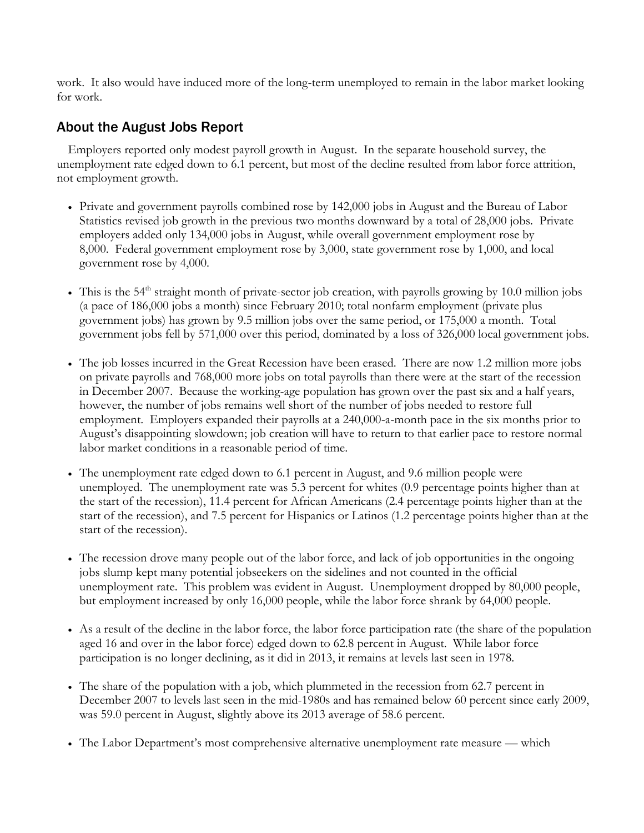work. It also would have induced more of the long-term unemployed to remain in the labor market looking for work.

## About the August Jobs Report

Employers reported only modest payroll growth in August. In the separate household survey, the unemployment rate edged down to 6.1 percent, but most of the decline resulted from labor force attrition, not employment growth.

- Private and government payrolls combined rose by 142,000 jobs in August and the Bureau of Labor Statistics revised job growth in the previous two months downward by a total of 28,000 jobs. Private employers added only 134,000 jobs in August, while overall government employment rose by 8,000. Federal government employment rose by 3,000, state government rose by 1,000, and local government rose by 4,000.
- This is the  $54<sup>th</sup>$  straight month of private-sector job creation, with payrolls growing by 10.0 million jobs (a pace of 186,000 jobs a month) since February 2010; total nonfarm employment (private plus government jobs) has grown by 9.5 million jobs over the same period, or 175,000 a month. Total government jobs fell by 571,000 over this period, dominated by a loss of 326,000 local government jobs.
- The job losses incurred in the Great Recession have been erased. There are now 1.2 million more jobs on private payrolls and 768,000 more jobs on total payrolls than there were at the start of the recession in December 2007. Because the working-age population has grown over the past six and a half years, however, the number of jobs remains well short of the number of jobs needed to restore full employment. Employers expanded their payrolls at a 240,000-a-month pace in the six months prior to August's disappointing slowdown; job creation will have to return to that earlier pace to restore normal labor market conditions in a reasonable period of time.
- The unemployment rate edged down to 6.1 percent in August, and 9.6 million people were unemployed. The unemployment rate was 5.3 percent for whites (0.9 percentage points higher than at the start of the recession), 11.4 percent for African Americans (2.4 percentage points higher than at the start of the recession), and 7.5 percent for Hispanics or Latinos (1.2 percentage points higher than at the start of the recession).
- The recession drove many people out of the labor force, and lack of job opportunities in the ongoing jobs slump kept many potential jobseekers on the sidelines and not counted in the official unemployment rate. This problem was evident in August. Unemployment dropped by 80,000 people, but employment increased by only 16,000 people, while the labor force shrank by 64,000 people.
- As a result of the decline in the labor force, the labor force participation rate (the share of the population aged 16 and over in the labor force) edged down to 62.8 percent in August. While labor force participation is no longer declining, as it did in 2013, it remains at levels last seen in 1978.
- The share of the population with a job, which plummeted in the recession from 62.7 percent in December 2007 to levels last seen in the mid-1980s and has remained below 60 percent since early 2009, was 59.0 percent in August, slightly above its 2013 average of 58.6 percent.
- The Labor Department's most comprehensive alternative unemployment rate measure which